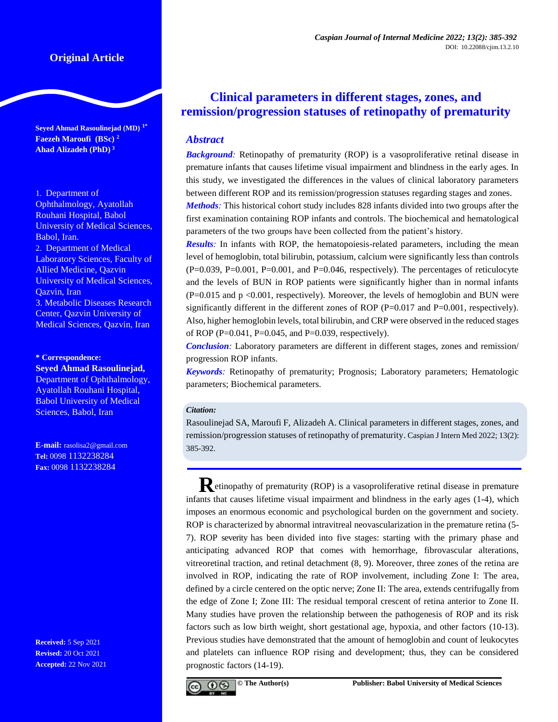# **Original Article**

**Seyed Ahmad Rasoulinejad (MD) 1\* Faezeh Maroufi (BSc) <sup>2</sup> Ahad Alizadeh (PhD) 3**

1. Department of Ophthalmology, Ayatollah Rouhani Hospital, Babol University of Medical Sciences, Babol, Iran. 2. Department of Medical Laboratory Sciences, Faculty of Allied Medicine, Qazvin University of Medical Sciences, Qazvin, Iran 3. Metabolic Diseases Research Center, Qazvin University of Medical Sciences, Qazvin, Iran

**\* Correspondence:**

**Seyed Ahmad Rasoulinejad,** Department of Ophthalmology, Ayatollah Rouhani Hospital, Babol University of Medical Sciences, Babol, Iran

**E-mail:** [rasolisa2@gmail.com](mailto:seyedahmadrasoulinejad@gmail.com) **Tel:** 0098 1132238284 **Fax:** 0098 1132238284

**Received:** 5 Sep 2021 **Revised:** 20 Oct 2021 **Accepted:** 22 Nov 2021

# **Clinical parameters in different stages, zones, and remission/progression statuses of retinopathy of prematurity**

# *Abstract*

**Background**: Retinopathy of prematurity (ROP) is a vasoproliferative retinal disease in premature infants that causes lifetime visual impairment and blindness in the early ages. In this study, we investigated the differences in the values of clinical laboratory parameters between different ROP and its remission/progression statuses regarding stages and zones. *Methods:* This historical cohort study includes 828 infants divided into two groups after the

first examination containing ROP infants and controls. The biochemical and hematological parameters of the two groups have been collected from the patient's history.

*Results*: In infants with ROP, the hematopoiesis-related parameters, including the mean level of hemoglobin, total bilirubin, potassium, calcium were significantly less than controls  $(P=0.039, P=0.001, P=0.001,$  and  $P=0.046$ , respectively). The percentages of reticulocyte and the levels of BUN in ROP patients were significantly higher than in normal infants (P=0.015 and p <0.001, respectively). Moreover, the levels of hemoglobin and BUN were significantly different in the different zones of ROP  $(P=0.017$  and  $P=0.001$ , respectively). Also, higher hemoglobin levels, total bilirubin, and CRP were observed in the reduced stages of ROP (P= $0.041$ , P= $0.045$ , and P= $0.039$ , respectively).

*Conclusion:* Laboratory parameters are different in different stages, zones and remission/ progression ROP infants.

*Keywords:* Retinopathy of prematurity; Prognosis; Laboratory parameters; Hematologic parameters; Biochemical parameters.

### *Citation:*

Rasoulinejad SA, Maroufi F, Alizadeh A. Clinical parameters in different stages, zones, and remission/progression statuses of retinopathy of prematurity. Caspian J Intern Med 2022; 13(2): 385-392.

**Retinopathy of prematurity (ROP) is a vasoproliferative retinal disease in premature** infants that causes lifetime visual impairment and blindness in the early ages [\(1-4\)](#page-6-0), which imposes an enormous economic and psychological burden on the government and society. ROP is characterized by abnormal intravitreal neovascularization in the premature retina [\(5-](#page-6-1) [7\)](#page-6-1). ROP severity has been divided into five stages: starting with the primary phase and anticipating advanced ROP that comes with hemorrhage, fibrovascular alterations, vitreoretinal traction, and retinal detachment [\(8,](#page-6-2) [9\)](#page-6-3). Moreover, three zones of the retina are involved in ROP, indicating the rate of ROP involvement, including Zone I: The area, defined by a circle centered on the optic nerve; Zone II: The area, extends centrifugally from the edge of Zone I; Zone III: The residual temporal crescent of retina anterior to Zone II. Many studies have proven the relationship between the pathogenesis of ROP and its risk factors such as low birth weight, short gestational age, hypoxia, and other factors [\(10-13\)](#page-6-4). Previous studies have demonstrated that the amount of hemoglobin and count of leukocytes and platelets can influence ROP rising and development; thus, they can be considered prognostic factors [\(14-19\)](#page-6-5).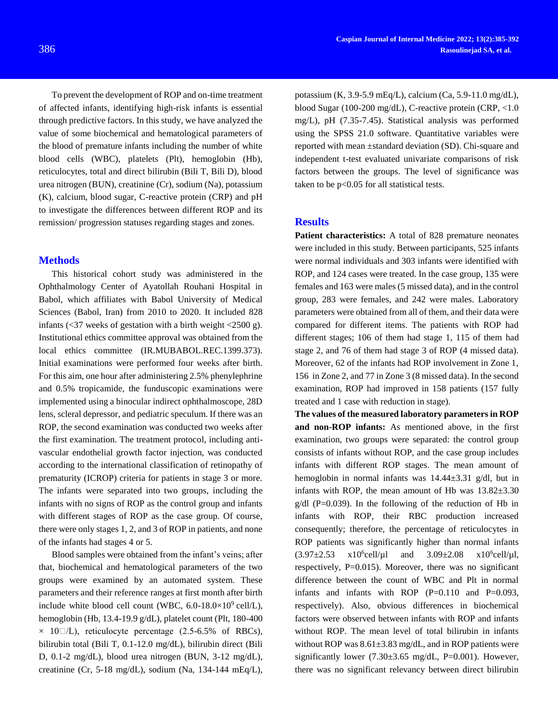To prevent the development of ROP and on-time treatment of affected infants, identifying high-risk infants is essential through predictive factors. In this study, we have analyzed the value of some biochemical and hematological parameters of the blood of premature infants including the number of white blood cells (WBC), platelets (Plt), hemoglobin (Hb), reticulocytes, total and direct bilirubin (Bili T, Bili D), blood urea nitrogen (BUN), creatinine (Cr), sodium (Na), potassium (K), calcium, blood sugar, C-reactive protein (CRP) and pH to investigate the differences between different ROP and its remission/ progression statuses regarding stages and zones.

# **Methods**

This historical cohort study was administered in the Ophthalmology Center of Ayatollah Rouhani Hospital in Babol, which affiliates with Babol University of Medical Sciences (Babol, Iran) from 2010 to 2020. It included 828 infants  $\left( \langle 37 \rangle \right)$  weeks of gestation with a birth weight  $\langle 2500 \rangle$ g). Institutional ethics committee approval was obtained from the local ethics committee (IR.MUBABOL.REC.1399.373). Initial examinations were performed four weeks after birth. For this aim, one hour after administering 2.5% phenylephrine and 0.5% tropicamide, the funduscopic examinations were implemented using a binocular indirect ophthalmoscope, 28D lens, scleral depressor, and pediatric speculum. If there was an ROP, the second examination was conducted two weeks after the first examination. The treatment protocol, including antivascular endothelial growth factor injection, was conducted according to the international classification of retinopathy of prematurity (ICROP) criteria for patients in stage 3 or more. The infants were separated into two groups, including the infants with no signs of ROP as the control group and infants with different stages of ROP as the case group. Of course, there were only stages 1, 2, and 3 of ROP in patients, and none of the infants had stages 4 or 5.

Blood samples were obtained from the infant's veins; after that, biochemical and hematological parameters of the two groups were examined by an automated system. These parameters and their reference ranges at first month after birth include white blood cell count (WBC,  $6.0\n-18.0\times10^{9}$ cell/L), hemoglobin (Hb, 13.4-19.9 g/dL), platelet count (Plt, 180-400  $\times$  10 $\Box$ /L), reticulocyte percentage (2.5-6.5% of RBCs), bilirubin total (Bili T, 0.1-12.0 mg/dL), bilirubin direct (Bili D, 0.1-2 mg/dL), blood urea nitrogen (BUN, 3-12 mg/dL), creatinine (Cr, 5-18 mg/dL), sodium (Na, 134-144 mEq/L),

potassium (K, 3.9-5.9 mEq/L), calcium (Ca, 5.9-11.0 mg/dL), blood Sugar (100-200 mg/dL), C-reactive protein (CRP, <1.0 mg/L), pH (7.35-7.45). Statistical analysis was performed using the SPSS 21.0 software. Quantitative variables were reported with mean ±standard deviation (SD). Chi-square and independent t-test evaluated univariate comparisons of risk factors between the groups. The level of significance was taken to be p<0.05 for all statistical tests.

# **Results**

**Patient characteristics:** A total of 828 premature neonates were included in this study. Between participants, 525 infants were normal individuals and 303 infants were identified with ROP, and 124 cases were treated. In the case group, 135 were females and 163 were males (5 missed data), and in the control group, 283 were females, and 242 were males. Laboratory parameters were obtained from all of them, and their data were compared for different items. The patients with ROP had different stages; 106 of them had stage 1, 115 of them had stage 2, and 76 of them had stage 3 of ROP (4 missed data). Moreover, 62 of the infants had ROP involvement in Zone 1, 156 in Zone 2, and 77 in Zone 3 (8 missed data). In the second examination, ROP had improved in 158 patients (157 fully treated and 1 case with reduction in stage).

**The values of the measured laboratory parameters in ROP and non-ROP infants:** As mentioned above, in the first examination, two groups were separated: the control group consists of infants without ROP, and the case group includes infants with different ROP stages. The mean amount of hemoglobin in normal infants was 14.44±3.31 g/dl, but in infants with ROP, the mean amount of Hb was 13.82±3.30  $g/dl$  (P=0.039). In the following of the reduction of Hb in infants with ROP, their RBC production increased consequently; therefore, the percentage of reticulocytes in ROP patients was significantly higher than normal infants  $(3.97 \pm 2.53 \times 10^6$ cell/µl and  $3.09\pm2.08$  $x10^6$ cell/µl, respectively, P=0.015). Moreover, there was no significant difference between the count of WBC and Plt in normal infants and infants with ROP  $(P=0.110$  and  $P=0.093$ , respectively). Also, obvious differences in biochemical factors were observed between infants with ROP and infants without ROP. The mean level of total bilirubin in infants without ROP was  $8.61\pm3.83$  mg/dL, and in ROP patients were significantly lower  $(7.30\pm3.65 \text{ mg/dL}, \text{P}=0.001)$ . However, there was no significant relevancy between direct bilirubin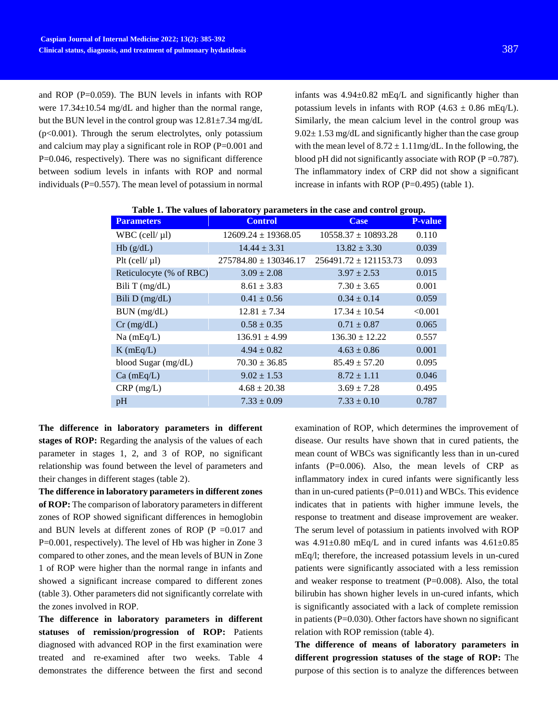and ROP (P=0.059). The BUN levels in infants with ROP were  $17.34 \pm 10.54$  mg/dL and higher than the normal range, but the BUN level in the control group was  $12.81 \pm 7.34$  mg/dL (p<0.001). Through the serum electrolytes, only potassium and calcium may play a significant role in ROP (P=0.001 and P=0.046, respectively). There was no significant difference between sodium levels in infants with ROP and normal individuals (P=0.557). The mean level of potassium in normal

infants was 4.94±0.82 mEq/L and significantly higher than potassium levels in infants with ROP (4.63  $\pm$  0.86 mEq/L). Similarly, the mean calcium level in the control group was  $9.02 \pm 1.53$  mg/dL and significantly higher than the case group with the mean level of  $8.72 \pm 1.11$  mg/dL. In the following, the blood pH did not significantly associate with ROP ( $P = 0.787$ ). The inflammatory index of CRP did not show a significant increase in infants with ROP  $(P=0.495)$  (table 1).

| <b>Parameters</b>       | <b>Control</b>            | <b>Case</b>               | <b>P-value</b> |
|-------------------------|---------------------------|---------------------------|----------------|
| $WBC$ (cell/ $\mu$ l)   | $12609.24 \pm 19368.05$   | $10558.37 \pm 10893.28$   | 0.110          |
| Hb(g/dL)                | $14.44 \pm 3.31$          | $13.82 \pm 3.30$          | 0.039          |
| $P$ lt (cell/ $\mu$ l)  | $275784.80 \pm 130346.17$ | $256491.72 \pm 121153.73$ | 0.093          |
| Reticulocyte (% of RBC) | $3.09 \pm 2.08$           | $3.97 \pm 2.53$           | 0.015          |
| Bili T $(mg/dL)$        | $8.61 \pm 3.83$           | $7.30 \pm 3.65$           | 0.001          |
| Bili $D$ (mg/dL)        | $0.41 \pm 0.56$           | $0.34 \pm 0.14$           | 0.059          |
| BUN (mg/dL)             | $12.81 \pm 7.34$          | $17.34 \pm 10.54$         | < 0.001        |
| $Cr$ (mg/dL)            | $0.58 \pm 0.35$           | $0.71 \pm 0.87$           | 0.065          |
| $Na$ (mEq/L)            | $136.91 \pm 4.99$         | $136.30 \pm 12.22$        | 0.557          |
| $K$ (mEq/L)             | $4.94 \pm 0.82$           | $4.63 \pm 0.86$           | 0.001          |
| blood Sugar (mg/dL)     | $70.30 \pm 36.85$         | $85.49 \pm 57.20$         | 0.095          |
| $Ca$ (mEq/L)            | $9.02 \pm 1.53$           | $8.72 \pm 1.11$           | 0.046          |
| $CRP$ (mg/L)            | $4.68 \pm 20.38$          | $3.69 \pm 7.28$           | 0.495          |
| pH                      | $7.33 \pm 0.09$           | $7.33 \pm 0.10$           | 0.787          |

**Table 1. The values of laboratory parameters in the case and control group.**

**The difference in laboratory parameters in different**  stages of ROP: Regarding the analysis of the values of each parameter in stages 1, 2, and 3 of ROP, no significant relationship was found between the level of parameters and their changes in different stages (table 2).

**The difference in laboratory parameters in different zones of ROP:** The comparison of laboratory parameters in different zones of ROP showed significant differences in hemoglobin and BUN levels at different zones of ROP ( $P = 0.017$  and P=0.001, respectively). The level of Hb was higher in Zone 3 compared to other zones, and the mean levels of BUN in Zone 1 of ROP were higher than the normal range in infants and showed a significant increase compared to different zones (table 3). Other parameters did not significantly correlate with the zones involved in ROP.

**The difference in laboratory parameters in different statuses of remission/progression of ROP:** Patients diagnosed with advanced ROP in the first examination were treated and re-examined after two weeks. Table 4 demonstrates the difference between the first and second examination of ROP, which determines the improvement of disease. Our results have shown that in cured patients, the mean count of WBCs was significantly less than in un-cured infants (P=0.006). Also, the mean levels of CRP as inflammatory index in cured infants were significantly less than in un-cured patients  $(P=0.011)$  and WBCs. This evidence indicates that in patients with higher immune levels, the response to treatment and disease improvement are weaker. The serum level of potassium in patients involved with ROP was  $4.91\pm0.80$  mEq/L and in cured infants was  $4.61\pm0.85$ mEq/l; therefore, the increased potassium levels in un-cured patients were significantly associated with a less remission and weaker response to treatment (P=0.008). Also, the total bilirubin has shown higher levels in un-cured infants, which is significantly associated with a lack of complete remission in patients ( $P=0.030$ ). Other factors have shown no significant relation with ROP remission (table 4).

**The difference of means of laboratory parameters in different progression statuses of the stage of ROP:** The purpose of this section is to analyze the differences between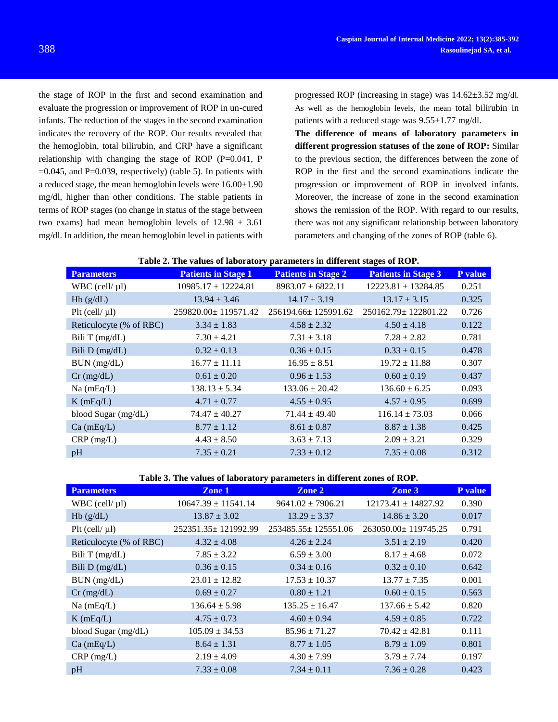the stage of ROP in the first and second examination and evaluate the progression or improvement of ROP in un-cured infants. The reduction of the stages in the second examination indicates the recovery of the ROP. Our results revealed that the hemoglobin, total bilirubin, and CRP have a significant relationship with changing the stage of ROP  $(P=0.041, P)$  $=0.045$ , and P $=0.039$ , respectively) (table 5). In patients with a reduced stage, the mean hemoglobin levels were  $16.00\pm1.90$ mg/dl, higher than other conditions. The stable patients in terms of ROP stages (no change in status of the stage between two exams) had mean hemoglobin levels of  $12.98 \pm 3.61$ mg/dl. In addition, the mean hemoglobin level in patients with

progressed ROP (increasing in stage) was 14.62±3.52 mg/dl. As well as the hemoglobin levels, the mean total bilirubin in patients with a reduced stage was 9.55±1.77 mg/dl.

**The difference of means of laboratory parameters in different progression statuses of the zone of ROP:** Similar to the previous section, the differences between the zone of ROP in the first and the second examinations indicate the progression or improvement of ROP in involved infants. Moreover, the increase of zone in the second examination shows the remission of the ROP. With regard to our results, there was not any significant relationship between laboratory parameters and changing of the zones of ROP (table 6).

| Table 2. The values of laboratory parameters in different stages of ROP. |  |
|--------------------------------------------------------------------------|--|
|--------------------------------------------------------------------------|--|

| <b>Parameters</b>       | <b>Patients in Stage 1</b> | <b>Patients in Stage 2</b> | <b>Patients in Stage 3</b> | P value |
|-------------------------|----------------------------|----------------------------|----------------------------|---------|
| WBC (cell/ $\mu$ l)     | $10985.17 \pm 12224.81$    | $8983.07 \pm 6822.11$      | $12223.81 \pm 13284.85$    | 0.251   |
| Hb(g/dL)                | $13.94 \pm 3.46$           | $14.17 \pm 3.19$           | $13.17 \pm 3.15$           | 0.325   |
| $P$ lt (cell/ $\mu$ l)  | 259820.00±119571.42        | 256194.66±125991.62        | $250162.79 \pm 122801.22$  | 0.726   |
| Reticulocyte (% of RBC) | $3.34 \pm 1.83$            | $4.58 \pm 2.32$            | $4.50 \pm 4.18$            | 0.122   |
| Bili T $(mg/dL)$        | $7.30 \pm 4.21$            | $7.31 \pm 3.18$            | $7.28 \pm 2.82$            | 0.781   |
| Bili $D$ (mg/dL)        | $0.32 \pm 0.13$            | $0.36 \pm 0.15$            | $0.33 \pm 0.15$            | 0.478   |
| BUN (mg/dL)             | $16.77 \pm 11.11$          | $16.95 \pm 8.51$           | $19.72 \pm 11.88$          | 0.307   |
| $Cr$ (mg/dL)            | $0.61 \pm 0.20$            | $0.96 \pm 1.53$            | $0.60 \pm 0.19$            | 0.437   |
| $Na$ (mEq/L)            | $138.13 \pm 5.34$          | $133.06 \pm 20.42$         | $136.60 \pm 6.25$          | 0.093   |
| $K$ (mEq/L)             | $4.71 \pm 0.77$            | $4.55 \pm 0.95$            | $4.57 \pm 0.95$            | 0.699   |
| blood Sugar (mg/dL)     | $74.47 \pm 40.27$          | $71.44 \pm 49.40$          | $116.14 \pm 73.03$         | 0.066   |
| $Ca$ (mEq/L)            | $8.77 \pm 1.12$            | $8.61 \pm 0.87$            | $8.87 \pm 1.38$            | 0.425   |
| $CRP$ (mg/L)            | $4.43 \pm 8.50$            | $3.63 \pm 7.13$            | $2.09 \pm 3.21$            | 0.329   |
| pH                      | $7.35 \pm 0.21$            | $7.33 \pm 0.12$            | $7.35 \pm 0.08$            | 0.312   |

#### **Table 3. The values of laboratory parameters in different zones of ROP.**

| <b>Parameters</b>       | Zone 1                  | Zone 2                    | Zone 3                    | P value |
|-------------------------|-------------------------|---------------------------|---------------------------|---------|
| WBC (cell/ $\mu$ l)     | $10647.39 \pm 11541.14$ | $9641.02 \pm 7906.21$     | $12173.41 \pm 14827.92$   | 0.390   |
| Hb(g/dL)                | $13.87 \pm 3.02$        | $13.29 \pm 3.37$          | $14.86 \pm 3.20$          | 0.017   |
| $P$ lt (cell/ $\mu$ l)  | 252351.35 ± 121992.99   | $253485.55 \pm 125551.06$ | $263050.00 \pm 119745.25$ | 0.791   |
| Reticulocyte (% of RBC) | $4.32 \pm 4.08$         | $4.26 \pm 2.24$           | $3.51 \pm 2.19$           | 0.420   |
| Bili T $(mg/dL)$        | $7.85 \pm 3.22$         | $6.59 \pm 3.00$           | $8.17 \pm 4.68$           | 0.072   |
| Bili D (mg/dL)          | $0.36 \pm 0.15$         | $0.34 \pm 0.16$           | $0.32 \pm 0.10$           | 0.642   |
| BUN (mg/dL)             | $23.01 \pm 12.82$       | $17.53 \pm 10.37$         | $13.77 \pm 7.35$          | 0.001   |
| $Cr$ (mg/dL)            | $0.69 \pm 0.27$         | $0.80 \pm 1.21$           | $0.60 \pm 0.15$           | 0.563   |
| $Na$ (mEq/L)            | $136.64 \pm 5.98$       | $135.25 \pm 16.47$        | $137.66 \pm 5.42$         | 0.820   |
| $K$ (mEq/L)             | $4.75 \pm 0.73$         | $4.60 \pm 0.94$           | $4.59 \pm 0.85$           | 0.722   |
| blood Sugar (mg/dL)     | $105.09 \pm 34.53$      | $85.96 \pm 71.27$         | $70.42 \pm 42.81$         | 0.111   |
| $Ca$ (mEq/L)            | $8.64 \pm 1.31$         | $8.77 \pm 1.05$           | $8.79 \pm 1.09$           | 0.801   |
| $CRP$ (mg/L)            | $2.19 \pm 4.09$         | $4.30 \pm 7.99$           | $3.79 \pm 7.74$           | 0.197   |
| pH                      | $7.33 \pm 0.08$         | $7.34 \pm 0.11$           | $7.36 \pm 0.28$           | 0.423   |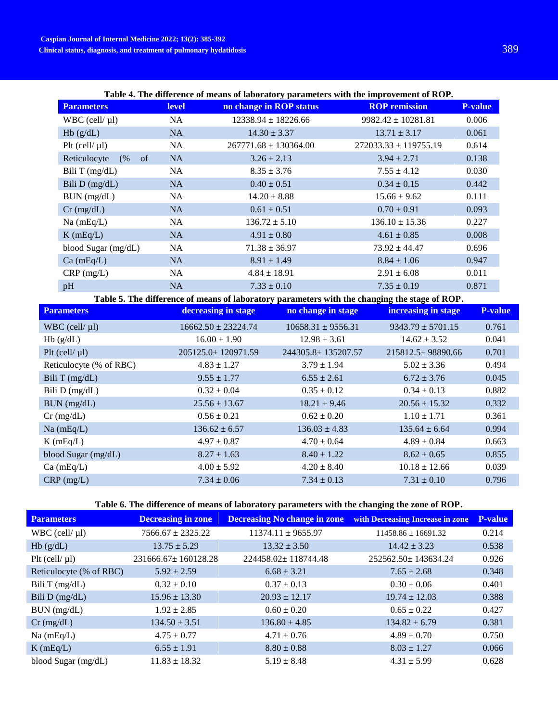| Table 4. The difference of means of laboratory parameters with the improvement of ROP. |
|----------------------------------------------------------------------------------------|
|----------------------------------------------------------------------------------------|

| <b>Parameters</b>                   | <b>level</b> | no change in ROP status   | <b>ROP</b> remission      | <b>P-value</b> |
|-------------------------------------|--------------|---------------------------|---------------------------|----------------|
| $WBC$ (cell/ $\mu$ l)               | <b>NA</b>    | $12338.94 \pm 18226.66$   | $9982.42 \pm 10281.81$    | 0.006          |
| Hb(g/dL)                            | NA           | $14.30 \pm 3.37$          | $13.71 \pm 3.17$          | 0.061          |
| $P$ lt (cell/ $\mu$ l)              | <b>NA</b>    | $267771.68 \pm 130364.00$ | $272033.33 \pm 119755.19$ | 0.614          |
| Reticulocyte<br>(%<br><sub>of</sub> | <b>NA</b>    | $3.26 \pm 2.13$           | $3.94 \pm 2.71$           | 0.138          |
| Bili T $(mg/dL)$                    | <b>NA</b>    | $8.35 \pm 3.76$           | $7.55 \pm 4.12$           | 0.030          |
| Bili $D$ (mg/dL)                    | <b>NA</b>    | $0.40 \pm 0.51$           | $0.34 \pm 0.15$           | 0.442          |
| BUN (mg/dL)                         | <b>NA</b>    | $14.20 \pm 8.88$          | $15.66 \pm 9.62$          | 0.111          |
| $Cr$ (mg/dL)                        | <b>NA</b>    | $0.61 \pm 0.51$           | $0.70 \pm 0.91$           | 0.093          |
| $Na$ (mEq/L)                        | <b>NA</b>    | $136.72 \pm 5.10$         | $136.10 \pm 15.36$        | 0.227          |
| $K$ (mEq/L)                         | <b>NA</b>    | $4.91 \pm 0.80$           | $4.61 \pm 0.85$           | 0.008          |
| blood Sugar (mg/dL)                 | <b>NA</b>    | $71.38 \pm 36.97$         | $73.92 \pm 44.47$         | 0.696          |
| $Ca$ (mEq/L)                        | <b>NA</b>    | $8.91 \pm 1.49$           | $8.84 \pm 1.06$           | 0.947          |
| $CRP$ (mg/L)                        | <b>NA</b>    | $4.84 \pm 18.91$          | $2.91 \pm 6.08$           | 0.011          |
| pH                                  | <b>NA</b>    | $7.33 \pm 0.10$           | $7.35 \pm 0.19$           | 0.871          |

| Table 5. The difference of means of laboratory parameters with the changing the stage of ROP. |                          |                        |                         |                |  |  |
|-----------------------------------------------------------------------------------------------|--------------------------|------------------------|-------------------------|----------------|--|--|
| <b>Parameters</b>                                                                             | decreasing in stage      | no change in stage     | increasing in stage     | <b>P-value</b> |  |  |
| $WBC$ (cell/ $\mu$ l)                                                                         | $16662.50 \pm 23224.74$  | $10658.31 \pm 9556.31$ | $9343.79 \pm 5701.15$   | 0.761          |  |  |
| Hb(g/dL)                                                                                      | $16.00 \pm 1.90$         | $12.98 \pm 3.61$       | $14.62 \pm 3.52$        | 0.041          |  |  |
| $P$ lt (cell/ $\mu$ l)                                                                        | $205125.0 \pm 120971.59$ | 244305.8±135207.57     | $215812.5 \pm 98890.66$ | 0.701          |  |  |
| Reticulocyte (% of RBC)                                                                       | $4.83 \pm 1.27$          | $3.79 \pm 1.94$        | $5.02 \pm 3.36$         | 0.494          |  |  |
| Bili T $(mg/dL)$                                                                              | $9.55 \pm 1.77$          | $6.55 \pm 2.61$        | $6.72 \pm 3.76$         | 0.045          |  |  |
| Bili $D$ (mg/dL)                                                                              | $0.32 \pm 0.04$          | $0.35 \pm 0.12$        | $0.34 \pm 0.13$         | 0.882          |  |  |
| BUN (mg/dL)                                                                                   | $25.56 \pm 13.67$        | $18.21 \pm 9.46$       | $20.56 \pm 15.32$       | 0.332          |  |  |
| $Cr$ (mg/dL)                                                                                  | $0.56 \pm 0.21$          | $0.62 \pm 0.20$        | $1.10 \pm 1.71$         | 0.361          |  |  |
| $Na$ (mEq/L)                                                                                  | $136.62 \pm 6.57$        | $136.03 \pm 4.83$      | $135.64 \pm 6.64$       | 0.994          |  |  |
| $K$ (mEq/L)                                                                                   | $4.97 \pm 0.87$          | $4.70 \pm 0.64$        | $4.89 \pm 0.84$         | 0.663          |  |  |
| blood Sugar $(mg/dL)$                                                                         | $8.27 \pm 1.63$          | $8.40 \pm 1.22$        | $8.62 \pm 0.65$         | 0.855          |  |  |
| $Ca$ (mEq/L)                                                                                  | $4.00 \pm 5.92$          | $4.20 \pm 8.40$        | $10.18 \pm 12.66$       | 0.039          |  |  |
| $CRP$ (mg/L)                                                                                  | $7.34 \pm 0.06$          | $7.34 \pm 0.13$        | $7.31 \pm 0.10$         | 0.796          |  |  |

# **Table 6. The difference of means of laboratory parameters with the changing the zone of ROP.**

| <b>Parameters</b>       | <b>Decreasing in zone</b> | <b>Decreasing No change in zone</b> | with Decreasing Increase in zone | <b>P-value</b> |
|-------------------------|---------------------------|-------------------------------------|----------------------------------|----------------|
| $WBC$ (cell/ $\mu$ l)   | $7566.67 \pm 2325.22$     | $11374.11 \pm 9655.97$              | $11458.86 \pm 16691.32$          | 0.214          |
| Hb(g/dL)                | $13.75 \pm 5.29$          | $13.32 \pm 3.50$                    | $14.42 \pm 3.23$                 | 0.538          |
| Plt (cell/ $\mu$ l)     | $231666.67 \pm 160128.28$ | $224458.02 \pm 118744.48$           | $252562.50 \pm 143634.24$        | 0.926          |
| Reticulocyte (% of RBC) | $5.92 \pm 2.59$           | $6.68 \pm 3.21$                     | $7.65 \pm 2.68$                  | 0.348          |
| Bili T $(mg/dL)$        | $0.32 \pm 0.10$           | $0.37 \pm 0.13$                     | $0.30 \pm 0.06$                  | 0.401          |
| Bili $D$ (mg/dL)        | $15.96 \pm 13.30$         | $20.93 \pm 12.17$                   | $19.74 \pm 12.03$                | 0.388          |
| BUN (mg/dL)             | $1.92 \pm 2.85$           | $0.60 \pm 0.20$                     | $0.65 \pm 0.22$                  | 0.427          |
| $Cr$ (mg/dL)            | $134.50 \pm 3.51$         | $136.80 \pm 4.85$                   | $134.82 \pm 6.79$                | 0.381          |
| $Na$ (mEq/L)            | $4.75 \pm 0.77$           | $4.71 \pm 0.76$                     | $4.89 \pm 0.70$                  | 0.750          |
| $K$ (mEq/L)             | $6.55 \pm 1.91$           | $8.80 \pm 0.88$                     | $8.03 \pm 1.27$                  | 0.066          |
| blood Sugar $(mg/dL)$   | $11.83 \pm 18.32$         | $5.19 \pm 8.48$                     | $4.31 \pm 5.99$                  | 0.628          |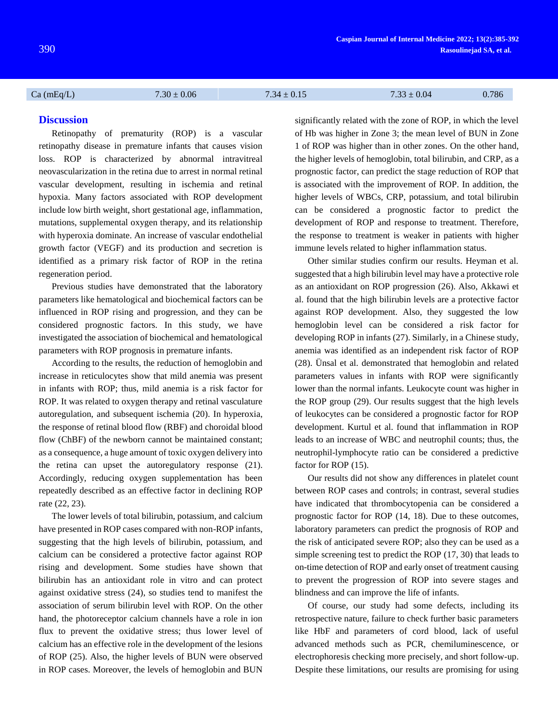Ca (mEq/L)  $7.30 \pm 0.06$   $7.34 \pm 0.15$   $7.33 \pm 0.04$   $0.786$ 

# **Discussion**

Retinopathy of prematurity (ROP) is a vascular retinopathy disease in premature infants that causes vision loss. ROP is characterized by abnormal intravitreal neovascularization in the retina due to arrest in normal retinal vascular development, resulting in ischemia and retinal hypoxia. Many factors associated with ROP development include low birth weight, short gestational age, inflammation, mutations, supplemental oxygen therapy, and its relationship with hyperoxia dominate. An increase of vascular endothelial growth factor (VEGF) and its production and secretion is identified as a primary risk factor of ROP in the retina regeneration period.

Previous studies have demonstrated that the laboratory parameters like hematological and biochemical factors can be influenced in ROP rising and progression, and they can be considered prognostic factors. In this study, we have investigated the association of biochemical and hematological parameters with ROP prognosis in premature infants.

According to the results, the reduction of hemoglobin and increase in reticulocytes show that mild anemia was present in infants with ROP; thus, mild anemia is a risk factor for ROP. It was related to oxygen therapy and retinal vasculature autoregulation, and subsequent ischemia [\(20\)](#page-7-0). In hyperoxia, the response of retinal blood flow (RBF) and choroidal blood flow (ChBF) of the newborn cannot be maintained constant; as a consequence, a huge amount of toxic oxygen delivery into the retina can upset the autoregulatory response [\(21\)](#page-7-1). Accordingly, reducing oxygen supplementation has been repeatedly described as an effective factor in declining ROP rate [\(22,](#page-7-2) [23\)](#page-7-3).

The lower levels of total bilirubin, potassium, and calcium have presented in ROP cases compared with non-ROP infants, suggesting that the high levels of bilirubin, potassium, and calcium can be considered a protective factor against ROP rising and development. Some studies have shown that bilirubin has an antioxidant role in vitro and can protect against oxidative stress [\(24\)](#page-7-4), so studies tend to manifest the association of serum bilirubin level with ROP. On the other hand, the photoreceptor calcium channels have a role in ion flux to prevent the oxidative stress; thus lower level of calcium has an effective role in the development of the lesions of ROP [\(25\)](#page-7-5). Also, the higher levels of BUN were observed in ROP cases. Moreover, the levels of hemoglobin and BUN

significantly related with the zone of ROP, in which the level of Hb was higher in Zone 3; the mean level of BUN in Zone 1 of ROP was higher than in other zones. On the other hand, the higher levels of hemoglobin, total bilirubin, and CRP, as a prognostic factor, can predict the stage reduction of ROP that is associated with the improvement of ROP. In addition, the higher levels of WBCs, CRP, potassium, and total bilirubin can be considered a prognostic factor to predict the development of ROP and response to treatment. Therefore, the response to treatment is weaker in patients with higher immune levels related to higher inflammation status.

Other similar studies confirm our results. Heyman et al. suggested that a high bilirubin level may have a protective role as an antioxidant on ROP progression [\(26\)](#page-7-6). Also, Akkawi et al. found that the high bilirubin levels are a protective factor against ROP development. Also, they suggested the low hemoglobin level can be considered a risk factor for developing ROP in infants [\(27\)](#page-7-7). Similarly, in a Chinese study, anemia was identified as an independent risk factor of ROP [\(28\)](#page-7-8). Ünsal et al. demonstrated that hemoglobin and related parameters values in infants with ROP were significantly lower than the normal infants. Leukocyte count was higher in the ROP group [\(29\)](#page-7-9). Our results suggest that the high levels of leukocytes can be considered a prognostic factor for ROP development. Kurtul et al. found that inflammation in ROP leads to an increase of WBC and neutrophil counts; thus, the neutrophil-lymphocyte ratio can be considered a predictive factor for ROP [\(15\)](#page-6-6).

Our results did not show any differences in platelet count between ROP cases and controls; in contrast, several studies have indicated that thrombocytopenia can be considered a prognostic factor for ROP [\(14,](#page-6-5) [18\)](#page-7-10). Due to these outcomes, laboratory parameters can predict the prognosis of ROP and the risk of anticipated severe ROP; also they can be used as a simple screening test to predict the ROP [\(17,](#page-6-7) [30\)](#page-7-11) that leads to on-time detection of ROP and early onset of treatment causing to prevent the progression of ROP into severe stages and blindness and can improve the life of infants.

Of course, our study had some defects, including its retrospective nature, failure to check further basic parameters like HbF and parameters of cord blood, lack of useful advanced methods such as PCR, chemiluminescence, or electrophoresis checking more precisely, and short follow-up. Despite these limitations, our results are promising for using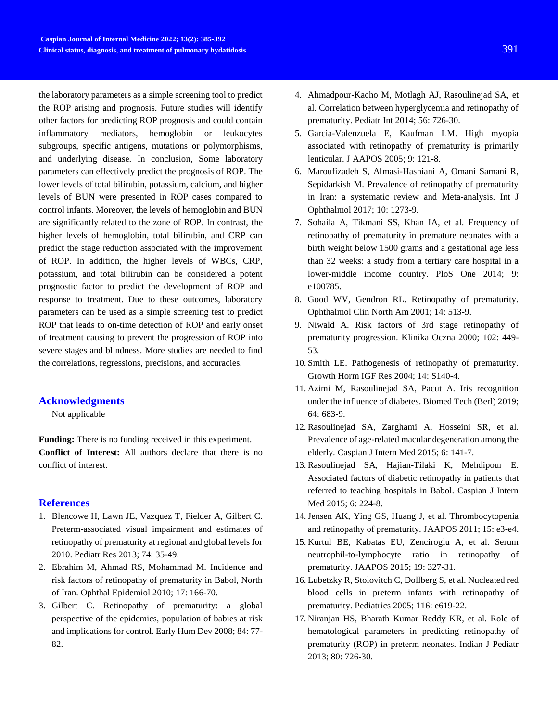the laboratory parameters as a simple screening tool to predict the ROP arising and prognosis. Future studies will identify other factors for predicting ROP prognosis and could contain inflammatory mediators, hemoglobin or leukocytes subgroups, specific antigens, mutations or polymorphisms, and underlying disease. In conclusion, Some laboratory parameters can effectively predict the prognosis of ROP. The lower levels of total bilirubin, potassium, calcium, and higher levels of BUN were presented in ROP cases compared to control infants. Moreover, the levels of hemoglobin and BUN are significantly related to the zone of ROP. In contrast, the higher levels of hemoglobin, total bilirubin, and CRP can predict the stage reduction associated with the improvement of ROP. In addition, the higher levels of WBCs, CRP, potassium, and total bilirubin can be considered a potent prognostic factor to predict the development of ROP and response to treatment. Due to these outcomes, laboratory parameters can be used as a simple screening test to predict ROP that leads to on-time detection of ROP and early onset of treatment causing to prevent the progression of ROP into severe stages and blindness. More studies are needed to find the correlations, regressions, precisions, and accuracies.

# **Acknowledgments**

Not applicable

**Funding:** There is no funding received in this experiment. **Conflict of Interest:** All authors declare that there is no conflict of interest.

#### **References**

- <span id="page-6-0"></span>1. Blencowe H, Lawn JE, Vazquez T, Fielder A, Gilbert C. Preterm-associated visual impairment and estimates of retinopathy of prematurity at regional and global levels for 2010. Pediatr Res 2013; 74: 35-49.
- 2. Ebrahim M, Ahmad RS, Mohammad M. Incidence and risk factors of retinopathy of prematurity in Babol, North of Iran. Ophthal Epidemiol 2010; 17: 166-70.
- 3. Gilbert C. Retinopathy of prematurity: a global perspective of the epidemics, population of babies at risk and implications for control. Early Hum Dev 2008; 84: 77- 82.
- 4. Ahmadpour-Kacho M, Motlagh AJ, Rasoulinejad SA, et al. Correlation between hyperglycemia and retinopathy of prematurity. Pediatr Int 2014; 56: 726-30.
- <span id="page-6-1"></span>5. Garcia-Valenzuela E, Kaufman LM. High myopia associated with retinopathy of prematurity is primarily lenticular. J AAPOS 2005; 9: 121-8.
- 6. Maroufizadeh S, Almasi-Hashiani A, Omani Samani R, Sepidarkish M. Prevalence of retinopathy of prematurity in Iran: a systematic review and Meta-analysis. Int J Ophthalmol 2017; 10: 1273-9.
- 7. Sohaila A, Tikmani SS, Khan IA, et al. Frequency of retinopathy of prematurity in premature neonates with a birth weight below 1500 grams and a gestational age less than 32 weeks: a study from a tertiary care hospital in a lower-middle income country. PloS One 2014; 9: e100785.
- <span id="page-6-2"></span>8. Good WV, Gendron RL. Retinopathy of prematurity. Ophthalmol Clin North Am 2001; 14: 513-9.
- <span id="page-6-3"></span>9. Niwald A. Risk factors of 3rd stage retinopathy of prematurity progression. Klinika Oczna 2000; 102: 449- 53.
- <span id="page-6-4"></span>10. Smith LE. Pathogenesis of retinopathy of prematurity. Growth Horm IGF Res 2004; 14: S140-4.
- 11. Azimi M, Rasoulinejad SA, Pacut A. Iris recognition under the influence of diabetes. Biomed Tech (Berl) 2019; 64: 683-9.
- 12. Rasoulinejad SA, Zarghami A, Hosseini SR, et al. Prevalence of age-related macular degeneration among the elderly. Caspian J Intern Med 2015; 6: 141-7.
- 13. Rasoulinejad SA, Hajian-Tilaki K, Mehdipour E. Associated factors of diabetic retinopathy in patients that referred to teaching hospitals in Babol. Caspian J Intern Med 2015; 6: 224-8.
- <span id="page-6-5"></span>14.Jensen AK, Ying GS, Huang J, et al. Thrombocytopenia and retinopathy of prematurity. JAAPOS 2011; 15: e3-e4.
- <span id="page-6-6"></span>15. Kurtul BE, Kabatas EU, Zenciroglu A, et al. Serum neutrophil-to-lymphocyte ratio in retinopathy of prematurity. JAAPOS 2015; 19: 327-31.
- 16. Lubetzky R, Stolovitch C, Dollberg S, et al. Nucleated red blood cells in preterm infants with retinopathy of prematurity. Pediatrics 2005; 116: e619-22.
- <span id="page-6-7"></span>17. Niranjan HS, Bharath Kumar Reddy KR, et al. Role of hematological parameters in predicting retinopathy of prematurity (ROP) in preterm neonates. Indian J Pediatr 2013; 80: 726-30.